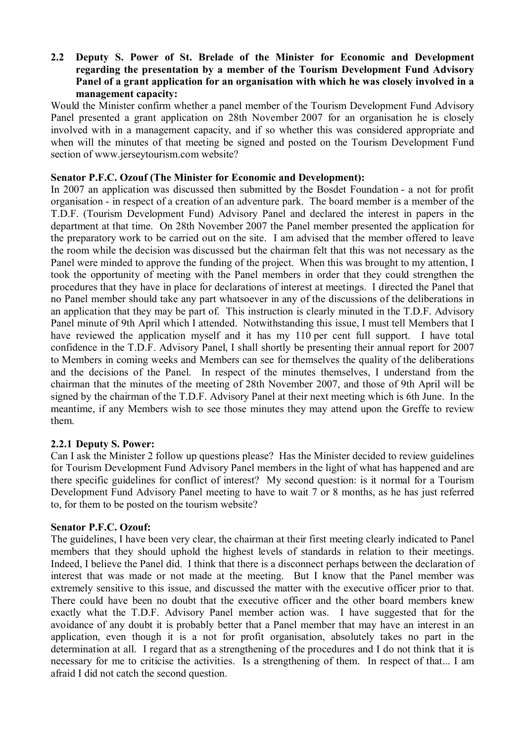## **2.2** � **Deputy S. Power of St. Brelade of the Minister for Economic and Development regarding the presentation by a member of the Tourism Development Fund Advisory Panel of a grant application for an organisation with which he was closely involved in a management capacity:**

Would the Minister confirm whether a panel member of the Tourism Development Fund Advisory Panel presented a grant application on 28th November 2007 for an organisation he is closely involved with in a management capacity, and if so whether this was considered appropriate and when will the minutes of that meeting be signed and posted on the Tourism Development Fund section of www.jerseytourism.com website?

# **Senator P.F.C. Ozouf (The Minister for Economic and Development):**

In 2007 an application was discussed then submitted by the Bosdet Foundation - a not for profit organisation - in respect of a creation of an adventure park. The board member is a member of the T.D.F. (Tourism Development Fund) Advisory Panel and declared the interest in papers in the department at that time. On 28th November 2007 the Panel member presented the application for the preparatory work to be carried out on the site. I am advised that the member offered to leave the room while the decision was discussed but the chairman felt that this was not necessary as the Panel were minded to approve the funding of the project. When this was brought to my attention, I took the opportunity of meeting with the Panel members in order that they could strengthen the procedures that they have in place for declarations of interest at meetings. I directed the Panel that no Panel member should take any part whatsoever in any of the discussions of the deliberations in an application that they may be part of. This instruction is clearly minuted in the T.D.F. Advisory Panel minute of 9th April which I attended. Notwithstanding this issue, I must tell Members that I have reviewed the application myself and it has my 110 per cent full support. I have total confidence in the T.D.F. Advisory Panel, I shall shortly be presenting their annual report for 2007 to Members in coming weeks and Members can see for themselves the quality of the deliberations and the decisions of the Panel. In respect of the minutes themselves, I understand from the chairman that the minutes of the meeting of 28th November 2007, and those of 9th April will be signed by the chairman of the T.D.F. Advisory Panel at their next meeting which is 6th June. In the meantime, if any Members wish to see those minutes they may attend upon the Greffe to review them.

# **2.2.1 Deputy S. Power:**

Can I ask the Minister 2 follow up questions please? Has the Minister decided to review guidelines for Tourism Development Fund Advisory Panel members in the light of what has happened and are there specific guidelines for conflict of interest? My second question: is it normal for a Tourism Development Fund Advisory Panel meeting to have to wait 7 or 8 months, as he has just referred to, for them to be posted on the tourism website?

#### **Senator P.F.C. Ozouf:**

The guidelines, I have been very clear, the chairman at their first meeting clearly indicated to Panel members that they should uphold the highest levels of standards in relation to their meetings. Indeed, I believe the Panel did. I think that there is a disconnect perhaps between the declaration of interest that was made or not made at the meeting. But I know that the Panel member was extremely sensitive to this issue, and discussed the matter with the executive officer prior to that. There could have been no doubt that the executive officer and the other board members knew exactly what the T.D.F. Advisory Panel member action was. I have suggested that for the avoidance of any doubt it is probably better that a Panel member that may have an interest in an application, even though it is a not for profit organisation, absolutely takes no part in the determination at all. I regard that as a strengthening of the procedures and I do not think that it is necessary for me to criticise the activities. Is a strengthening of them. In respect of that... I am afraid I did not catch the second question.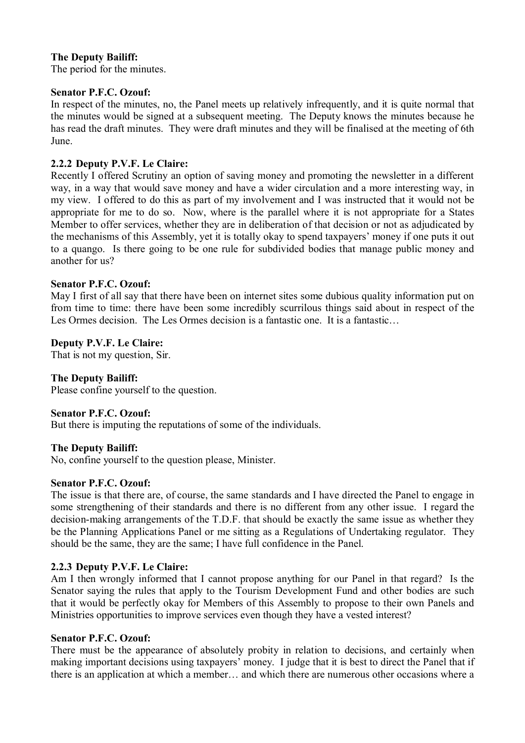# **The Deputy Bailiff:**

The period for the minutes.

#### **Senator P.F.C. Ozouf:**

In respect of the minutes, no, the Panel meets up relatively infrequently, and it is quite normal that the minutes would be signed at a subsequent meeting. The Deputy knows the minutes because he has read the draft minutes. They were draft minutes and they will be finalised at the meeting of 6th June.

### **2.2.2 Deputy P.V.F. Le Claire:**

Recently I offered Scrutiny an option of saving money and promoting the newsletter in a different way, in a way that would save money and have a wider circulation and a more interesting way, in my view. I offered to do this as part of my involvement and I was instructed that it would not be appropriate for me to do so. Now, where is the parallel where it is not appropriate for a States Member to offer services, whether they are in deliberation of that decision or not as adjudicated by the mechanisms of this Assembly, yet it is totally okay to spend taxpayers' money if one puts it out to a quango. Is there going to be one rule for subdivided bodies that manage public money and another for us?

#### **Senator P.F.C. Ozouf:**

May I first of all say that there have been on internet sites some dubious quality information put on from time to time: there have been some incredibly scurrilous things said about in respect of the Les Ormes decision. The Les Ormes decision is a fantastic one. It is a fantastic...

### **Deputy P.V.F. Le Claire:**

That is not my question, Sir.

#### **The Deputy Bailiff:**

Please confine yourself to the question.

#### **Senator P.F.C. Ozouf:**

But there is imputing the reputations of some of the individuals.

#### **The Deputy Bailiff:**

No, confine yourself to the question please, Minister.

#### **Senator P.F.C. Ozouf:**

The issue is that there are, of course, the same standards and I have directed the Panel to engage in some strengthening of their standards and there is no different from any other issue. I regard the decision-making arrangements of the T.D.F. that should be exactly the same issue as whether they be the Planning Applications Panel or me sitting as a Regulations of Undertaking regulator. They should be the same, they are the same; I have full confidence in the Panel.

#### **2.2.3 Deputy P.V.F. Le Claire:**

Am I then wrongly informed that I cannot propose anything for our Panel in that regard? Is the Senator saying the rules that apply to the Tourism Development Fund and other bodies are such that it would be perfectly okay for Members of this Assembly to propose to their own Panels and Ministries opportunities to improve services even though they have a vested interest?

#### **Senator P.F.C. Ozouf:**

There must be the appearance of absolutely probity in relation to decisions, and certainly when making important decisions using taxpayers' money. I judge that it is best to direct the Panel that if there is an application at which a member… and which there are numerous other occasions where a